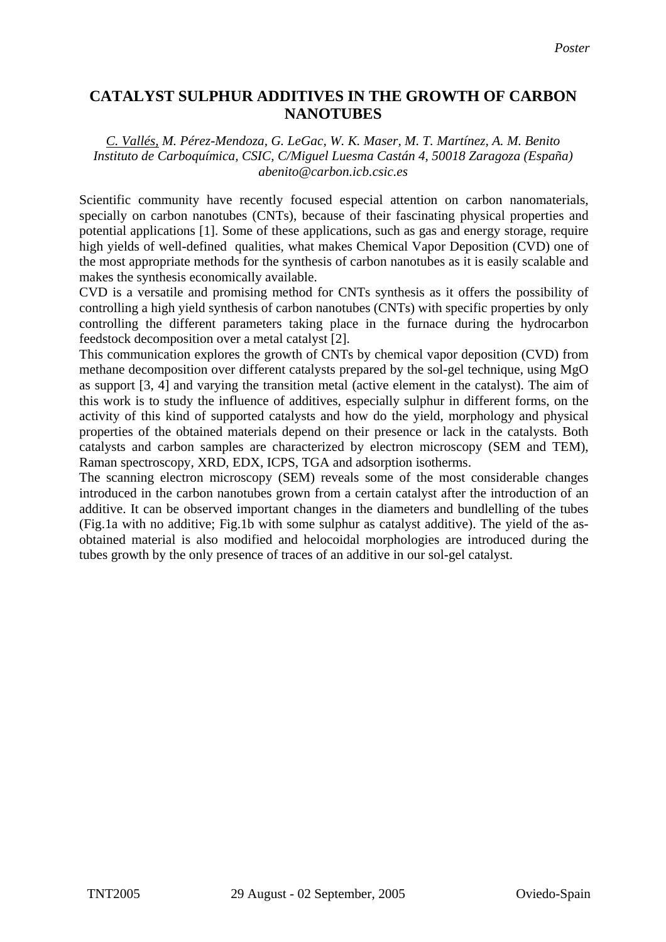## **CATALYST SULPHUR ADDITIVES IN THE GROWTH OF CARBON NANOTUBES**

## *C. Vallés, M. Pérez-Mendoza, G. LeGac, W. K. Maser, M. T. Martínez, A. M. Benito Instituto de Carboquímica, CSIC, C/Miguel Luesma Castán 4, 50018 Zaragoza (España) abenito@carbon.icb.csic.es*

Scientific community have recently focused especial attention on carbon nanomaterials, specially on carbon nanotubes (CNTs), because of their fascinating physical properties and potential applications [1]. Some of these applications, such as gas and energy storage, require high yields of well-defined qualities, what makes Chemical Vapor Deposition (CVD) one of the most appropriate methods for the synthesis of carbon nanotubes as it is easily scalable and makes the synthesis economically available.

CVD is a versatile and promising method for CNTs synthesis as it offers the possibility of controlling a high yield synthesis of carbon nanotubes (CNTs) with specific properties by only controlling the different parameters taking place in the furnace during the hydrocarbon feedstock decomposition over a metal catalyst [2].

This communication explores the growth of CNTs by chemical vapor deposition (CVD) from methane decomposition over different catalysts prepared by the sol-gel technique, using MgO as support [3, 4] and varying the transition metal (active element in the catalyst). The aim of this work is to study the influence of additives, especially sulphur in different forms, on the activity of this kind of supported catalysts and how do the yield, morphology and physical properties of the obtained materials depend on their presence or lack in the catalysts. Both catalysts and carbon samples are characterized by electron microscopy (SEM and TEM), Raman spectroscopy, XRD, EDX, ICPS, TGA and adsorption isotherms.

The scanning electron microscopy (SEM) reveals some of the most considerable changes introduced in the carbon nanotubes grown from a certain catalyst after the introduction of an additive. It can be observed important changes in the diameters and bundlelling of the tubes (Fig.1a with no additive; Fig.1b with some sulphur as catalyst additive). The yield of the asobtained material is also modified and helocoidal morphologies are introduced during the tubes growth by the only presence of traces of an additive in our sol-gel catalyst.